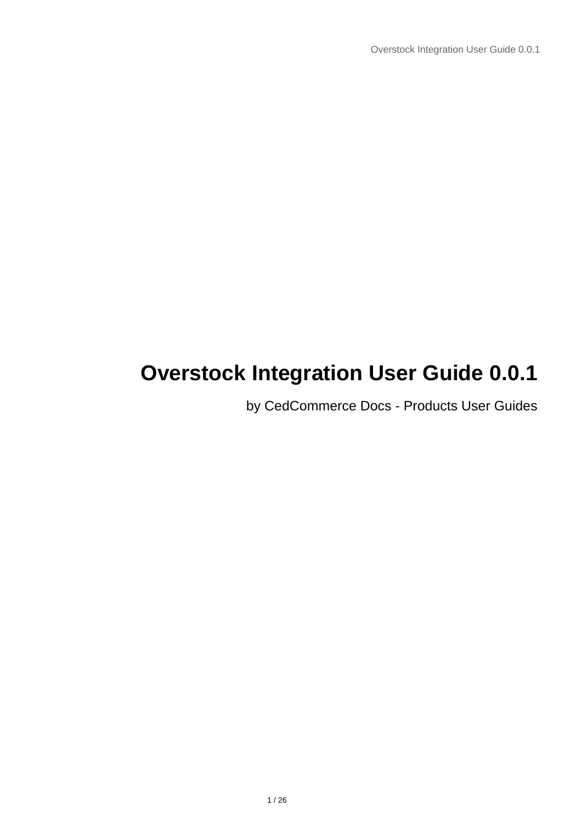# **Overstock Integration User Guide 0.0.1**

by CedCommerce Docs - Products User Guides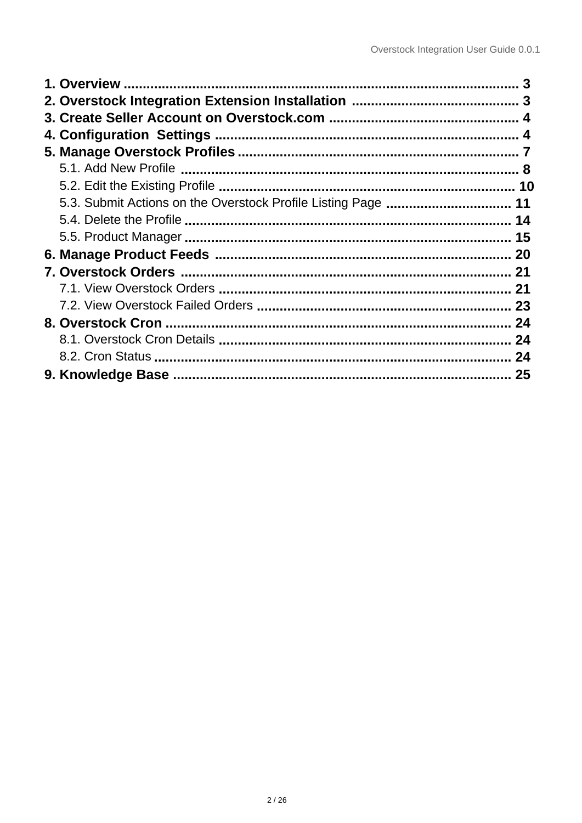| 5.3. Submit Actions on the Overstock Profile Listing Page  11 |    |
|---------------------------------------------------------------|----|
|                                                               |    |
|                                                               | 15 |
|                                                               |    |
|                                                               |    |
|                                                               |    |
|                                                               |    |
|                                                               |    |
|                                                               | 24 |
|                                                               |    |
|                                                               |    |
|                                                               |    |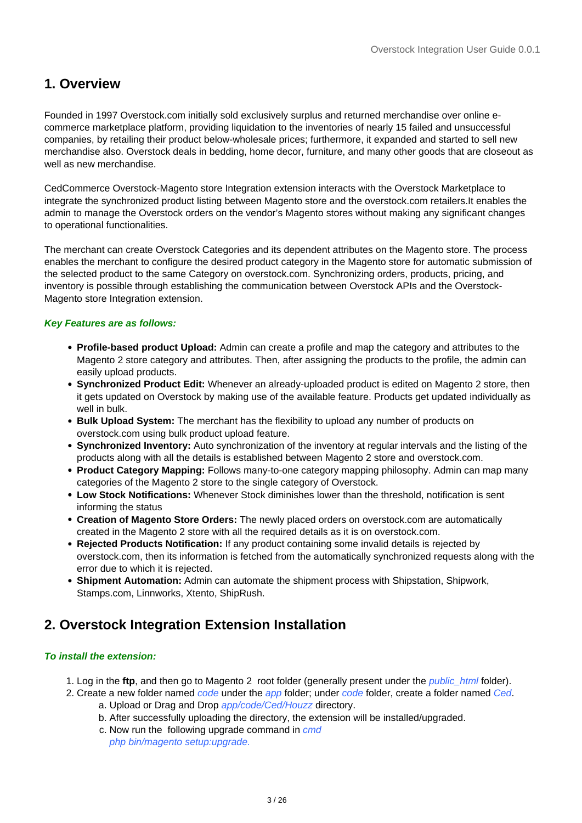### <span id="page-2-0"></span>**1. Overview**

Founded in 1997 Overstock.com initially sold exclusively surplus and returned merchandise over online ecommerce marketplace platform, providing liquidation to the inventories of nearly 15 failed and unsuccessful companies, by retailing their product below-wholesale prices; furthermore, it expanded and started to sell new merchandise also. Overstock deals in bedding, home decor, furniture, and many other goods that are closeout as well as new merchandise.

CedCommerce Overstock-Magento store Integration extension interacts with the Overstock Marketplace to integrate the synchronized product listing between Magento store and the overstock.com retailers.It enables the admin to manage the Overstock orders on the vendor's Magento stores without making any significant changes to operational functionalities.

The merchant can create Overstock Categories and its dependent attributes on the Magento store. The process enables the merchant to configure the desired product category in the Magento store for automatic submission of the selected product to the same Category on overstock.com. Synchronizing orders, products, pricing, and inventory is possible through establishing the communication between Overstock APIs and the Overstock-Magento store Integration extension.

#### **Key Features are as follows:**

- **Profile-based product Upload:** Admin can create a profile and map the category and attributes to the Magento 2 store category and attributes. Then, after assigning the products to the profile, the admin can easily upload products.
- **Synchronized Product Edit:** Whenever an already-uploaded product is edited on Magento 2 store, then it gets updated on Overstock by making use of the available feature. Products get updated individually as well in bulk.
- **Bulk Upload System:** The merchant has the flexibility to upload any number of products on overstock.com using bulk product upload feature.
- **Synchronized Inventory:** Auto synchronization of the inventory at regular intervals and the listing of the products along with all the details is established between Magento 2 store and overstock.com.
- **Product Category Mapping:** Follows many-to-one category mapping philosophy. Admin can map many categories of the Magento 2 store to the single category of Overstock.
- **Low Stock Notifications:** Whenever Stock diminishes lower than the threshold, notification is sent informing the status
- **Creation of Magento Store Orders:** The newly placed orders on overstock.com are automatically created in the Magento 2 store with all the required details as it is on overstock.com.
- **Rejected Products Notification:** If any product containing some invalid details is rejected by overstock.com, then its information is fetched from the automatically synchronized requests along with the error due to which it is rejected.
- **Shipment Automation:** Admin can automate the shipment process with Shipstation, Shipwork, Stamps.com, Linnworks, Xtento, ShipRush.

### **2. Overstock Integration Extension Installation**

#### **To install the extension:**

- 1. Log in the **ftp**, and then go to Magento 2 root folder (generally present under the public\_html folder).
- 2. Create a new folder named code under the app folder; under code folder, create a folder named Ced. a. Upload or Drag and Drop app/code/Ced/Houzz directory.
	- b. After successfully uploading the directory, the extension will be installed/upgraded.
	- c. Now run the following upgrade command in cmd
		- php bin/magento setup:upgrade.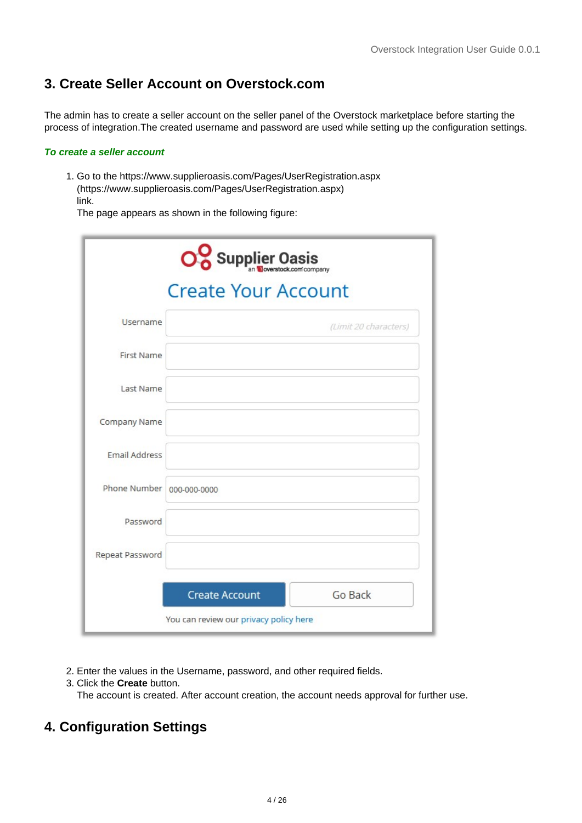### <span id="page-3-0"></span>**3. Create Seller Account on Overstock.com**

The admin has to create a seller account on the seller panel of the Overstock marketplace before starting the process of integration.The created username and password are used while setting up the configuration settings.

#### **To create a seller account**

1. Go to the https://www.supplieroasis.com/Pages/UserRegistration.aspx (https://www.supplieroasis.com/Pages/UserRegistration.aspx) link.

The page appears as shown in the following figure:

| O. Supplier Oasis                      |                       |                       |  |  |  |  |
|----------------------------------------|-----------------------|-----------------------|--|--|--|--|
| <b>Create Your Account</b>             |                       |                       |  |  |  |  |
| Username                               |                       | (Limit 20 characters) |  |  |  |  |
| First Name                             |                       |                       |  |  |  |  |
| Last Name                              |                       |                       |  |  |  |  |
| Company Name                           |                       |                       |  |  |  |  |
| <b>Email Address</b>                   |                       |                       |  |  |  |  |
| Phone Number   000-000-0000            |                       |                       |  |  |  |  |
| Password                               |                       |                       |  |  |  |  |
| Repeat Password                        |                       |                       |  |  |  |  |
|                                        | <b>Create Account</b> | Go Back               |  |  |  |  |
| You can review our privacy policy here |                       |                       |  |  |  |  |

- 2. Enter the values in the Username, password, and other required fields.
- 3. Click the **Create** button.

The account is created. After account creation, the account needs approval for further use.

### **4. Configuration Settings**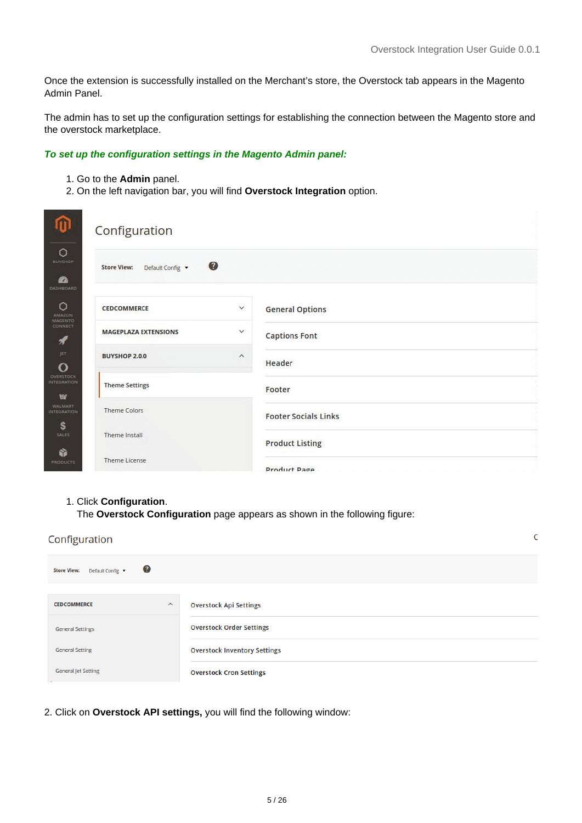Once the extension is successfully installed on the Merchant's store, the Overstock tab appears in the Magento Admin Panel.

The admin has to set up the configuration settings for establishing the connection between the Magento store and the overstock marketplace.

#### **To set up the configuration settings in the Magento Admin panel:**

- 1. Go to the **Admin** panel.
- 2. On the left navigation bar, you will find **Overstock Integration** option.

| m                                                  | Configuration                                          |              |                             |
|----------------------------------------------------|--------------------------------------------------------|--------------|-----------------------------|
| $\circ$<br><b>BUYSHOP</b><br><b>B</b><br>DASHBOARD | <sup>◎</sup><br>Default Config v<br><b>Store View:</b> |              |                             |
| $\circ$<br><b>AMAZON</b>                           | <b>CEDCOMMERCE</b>                                     | $\checkmark$ | <b>General Options</b>      |
| <b>MAGENTO</b><br>CONNECT<br>A                     | <b>MAGEPLAZA EXTENSIONS</b>                            | $\checkmark$ | <b>Captions Font</b>        |
| JET<br>O                                           | <b>BUYSHOP 2.0.0</b>                                   | $\wedge$     | Header                      |
| <b>OVERSTOCK</b><br><b>INTEGRATION</b><br>w        | <b>Theme Settings</b>                                  |              | Footer                      |
| <b>WALMART</b><br><b>INTEGRATION</b><br>\$         | <b>Theme Colors</b>                                    |              | <b>Footer Socials Links</b> |
| SALES<br>Ŵ                                         | Theme Install                                          |              | <b>Product Listing</b>      |
| <b>PRODUCTS</b>                                    | <b>Theme License</b>                                   |              | Product Page                |

#### 1. Click **Configuration**.

The **Overstock Configuration** page appears as shown in the following figure:

| Configuration                     | ٢                                   |
|-----------------------------------|-------------------------------------|
| Ø<br>Store View: Default Config ▼ |                                     |
| <b>CEDCOMMERCE</b><br>$\wedge$    | <b>Overstock Api Settings</b>       |
|                                   |                                     |
| <b>General Settings</b>           | <b>Overstock Order Settings</b>     |
| <b>General Setting</b>            | <b>Overstock Inventory Settings</b> |
| <b>General Jet Setting</b>        | <b>Overstock Cron Settings</b>      |

2. Click on **Overstock API settings,** you will find the following window: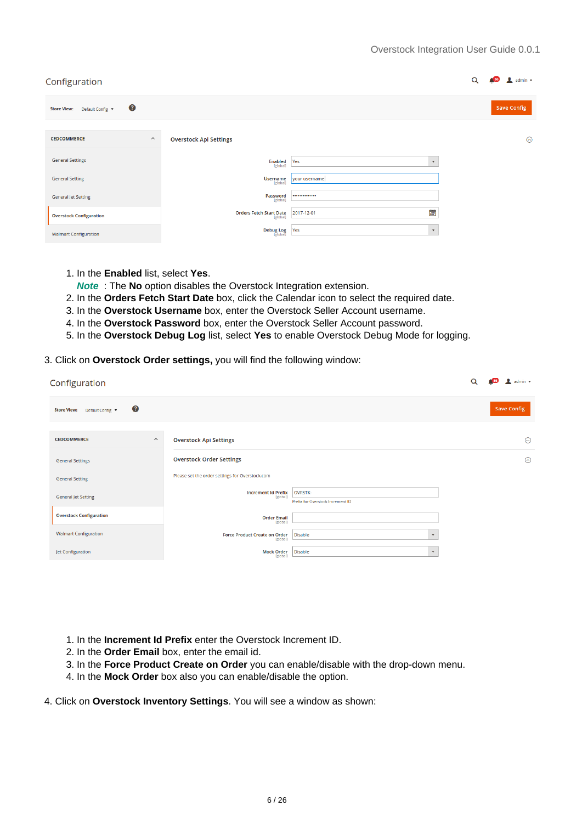#### Overstock Integration User Guide 0.0.1

| Configuration                                 |                                            |                     | $admin$ $\star$    |
|-----------------------------------------------|--------------------------------------------|---------------------|--------------------|
| Ø<br><b>Store View:</b><br>Default Config ▼   |                                            |                     | <b>Save Config</b> |
| <b>CEDCOMMERCE</b><br>$\widehat{\phantom{a}}$ | <b>Overstock Api Settings</b>              |                     | $\odot$            |
| <b>General Settings</b>                       | <b>Enabled</b><br>[global]                 | Yes<br>$\mathbf{v}$ |                    |
| <b>General Setting</b>                        | <b>Username</b><br>[global]                | your username       |                    |
| <b>General Jet Setting</b>                    | Password<br>[global]                       |                     |                    |
| <b>Overstock Configuration</b>                | <b>Orders Fetch Start Date</b><br>[global] | 画<br>2017-12-01     |                    |
| <b>Walmart Configuration</b>                  | <b>Debug Log</b><br><b>Pobal</b>           | Yes<br>$\mathbf{v}$ |                    |

- 1. In the **Enabled** list, select **Yes**.
- **Note** : The **No** option disables the Overstock Integration extension.
- 2. In the **Orders Fetch Start Date** box, click the Calendar icon to select the required date.
- 3. In the **Overstock Username** box, enter the Overstock Seller Account username.
- 4. In the **Overstock Password** box, enter the Overstock Seller Account password.
- 5. In the **Overstock Debug Log** list, select **Yes** to enable Overstock Debug Mode for logging.
- 3. Click on **Overstock Order settings,** you will find the following window:

| Configuration                                              |                                                  |                                                     | Q | $admin$ $\star$    |
|------------------------------------------------------------|--------------------------------------------------|-----------------------------------------------------|---|--------------------|
| $\boldsymbol{c}$<br><b>Store View:</b><br>Default Config ▼ |                                                  |                                                     |   | <b>Save Config</b> |
| <b>CEDCOMMERCE</b><br>$\boldsymbol{\wedge}$                | <b>Overstock Api Settings</b>                    |                                                     |   | $\odot$            |
| <b>General Settings</b>                                    | <b>Overstock Order Settings</b>                  |                                                     |   | $\odot$            |
| <b>General Setting</b>                                     | Please set the order settings for Overstock.com  |                                                     |   |                    |
| <b>General Jet Setting</b>                                 | <b>Increment Id Prefix</b><br>[global]           | <b>OVRSTK-</b><br>Prefix for Overstock Increment ID |   |                    |
| <b>Overstock Configuration</b>                             | <b>Order Email</b><br>[global]                   |                                                     |   |                    |
| <b>Walmart Configuration</b>                               | <b>Force Product Create on Order</b><br>[global] | <b>Disable</b><br>$\mathbf{v}$                      |   |                    |
| Jet Configuration                                          | <b>Mock Order</b><br>[global]                    | <b>Disable</b><br>$\mathbf{v}$                      |   |                    |

- 1. In the **Increment Id Prefix** enter the Overstock Increment ID.
- 2. In the **Order Email** box, enter the email id.
- 3. In the **Force Product Create on Order** you can enable/disable with the drop-down menu.
- 4. In the **Mock Order** box also you can enable/disable the option.
- 4. Click on **Overstock Inventory Settings**. You will see a window as shown: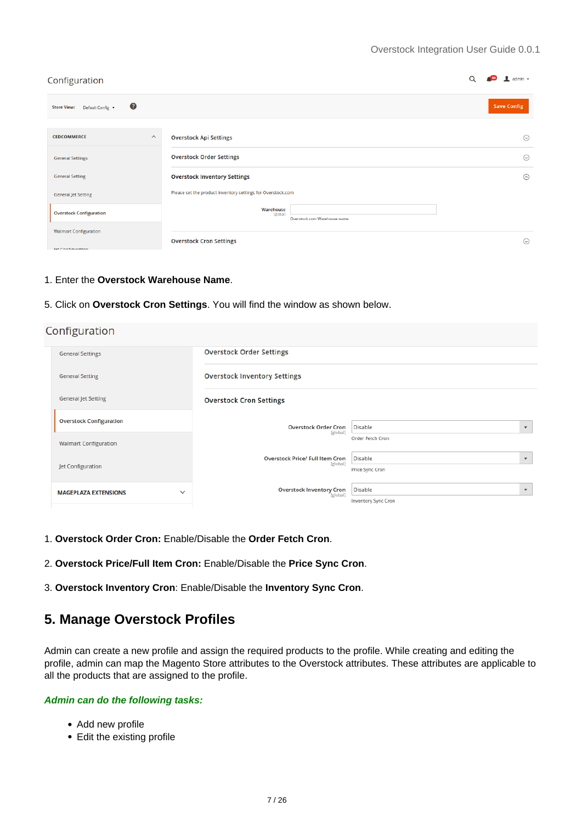<span id="page-6-0"></span>

| Configuration                                              |                                                             | admin $\star$      |
|------------------------------------------------------------|-------------------------------------------------------------|--------------------|
| $\boldsymbol{c}$<br><b>Store View:</b><br>Default Config ▼ |                                                             | <b>Save Config</b> |
| <b>CEDCOMMERCE</b><br>$\widehat{\phantom{a}}$              | <b>Overstock Api Settings</b>                               | $\odot$            |
| <b>General Settings</b>                                    | <b>Overstock Order Settings</b>                             | $\odot$            |
| <b>General Setting</b>                                     | <b>Overstock Inventory Settings</b>                         | $\odot$            |
| <b>General Jet Setting</b>                                 | Please set the product inventory settings for Overstock.com |                    |
| <b>Overstock Configuration</b>                             | Warehouse<br>[global]<br>Overstock.com Warehouse name       |                    |
| <b>Walmart Configuration</b>                               | <b>Overstock Cron Settings</b>                              | $\odot$            |
| let Configuration                                          |                                                             |                    |

#### 1. Enter the **Overstock Warehouse Name**.

5. Click on **Overstock Cron Settings**. You will find the window as shown below.

| Configuration                               |                                                    |                                                                         |
|---------------------------------------------|----------------------------------------------------|-------------------------------------------------------------------------|
| <b>General Settings</b>                     | <b>Overstock Order Settings</b>                    |                                                                         |
| <b>General Setting</b>                      | <b>Overstock Inventory Settings</b>                |                                                                         |
| <b>General Jet Setting</b>                  | <b>Overstock Cron Settings</b>                     |                                                                         |
| <b>Overstock Configuration</b>              | <b>Overstock Order Cron</b><br>[global]            | <b>Disable</b><br>$\overline{\mathbf{v}}$                               |
| <b>Walmart Configuration</b>                |                                                    | <b>Order Fetch Cron</b>                                                 |
| Jet Configuration                           | <b>Overstock Price/ Full Item Cron</b><br>[global] | <b>Disable</b><br>$\overline{\mathbf{v}}$<br><b>Price Sync Cron</b>     |
| <b>MAGEPLAZA EXTENSIONS</b><br>$\checkmark$ | Overstock Inventory Cron                           | <b>Disable</b><br>$\overline{\mathbf{v}}$<br><b>Inventory Sync Cron</b> |

- 1. **Overstock Order Cron:** Enable/Disable the **Order Fetch Cron**.
- 2. **Overstock Price/Full Item Cron:** Enable/Disable the **Price Sync Cron**.
- 3. **Overstock Inventory Cron**: Enable/Disable the **Inventory Sync Cron**.

### **5. Manage Overstock Profiles**

Admin can create a new profile and assign the required products to the profile. While creating and editing the profile, admin can map the Magento Store attributes to the Overstock attributes. These attributes are applicable to all the products that are assigned to the profile.

#### **Admin can do the following tasks:**

- Add new profile
- Edit the existing profile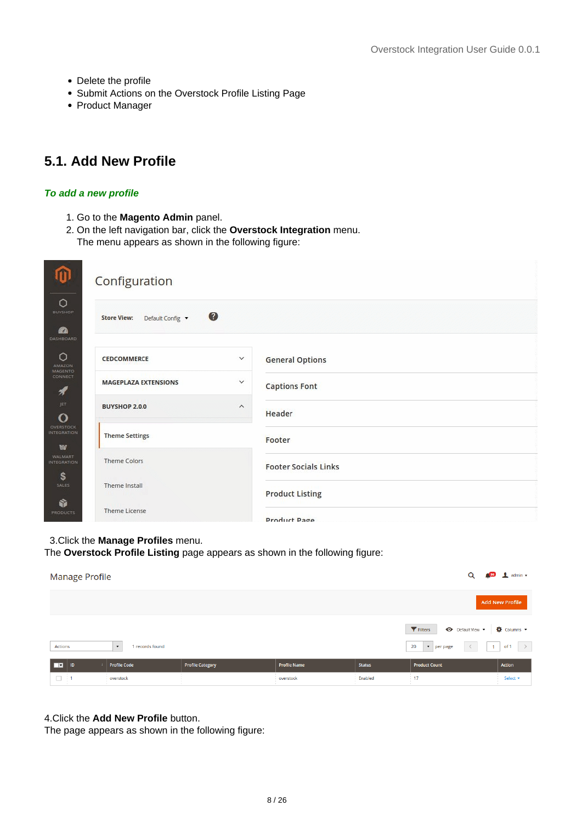- <span id="page-7-0"></span>• Delete the profile
- Submit Actions on the Overstock Profile Listing Page
- Product Manager

### **5.1. Add New Profile**

#### **To add a new profile**

- 1. Go to the **Magento Admin** panel.
- 2. On the left navigation bar, click the **Overstock Integration** menu.

The menu appears as shown in the following figure:

| Configuration                                                                    |                         |                             |
|----------------------------------------------------------------------------------|-------------------------|-----------------------------|
| $\circ$<br><b>BUYSHOP</b><br>Default Config v<br><b>Store View:</b><br><b>BA</b> | €                       |                             |
| DASHBOARD<br>$\circ$<br>CEDCOMMERCE<br><b>AMAZON</b>                             | $\checkmark$            | <b>General Options</b>      |
| <b>MAGENTO</b><br>CONNECT<br><b>MAGEPLAZA EXTENSIONS</b><br>1                    | $\checkmark$            | <b>Captions Font</b>        |
| JET<br><b>BUYSHOP 2.0.0</b><br>$\Omega$                                          | $\widehat{\phantom{a}}$ | Header                      |
| OVERSTOCK<br><b>INTEGRATION</b><br><b>Theme Settings</b><br>w                    |                         | Footer                      |
| <b>WALMART</b><br><b>Theme Colors</b><br><b>INTEGRATION</b>                      |                         | <b>Footer Socials Links</b> |
| \$<br>Theme Install<br><b>SALES</b>                                              |                         | <b>Product Listing</b>      |
| ŵ<br><b>Theme License</b><br><b>PRODUCTS</b>                                     |                         | Product Page                |

#### 3.Click the **Manage Profiles** menu.

The **Overstock Profile Listing** page appears as shown in the following figure:

| <b>Manage Profile</b>   |                                             |                         |                     |               | Q                                                                                                                    | $\frac{1}{26}$ admin $\sim$ |
|-------------------------|---------------------------------------------|-------------------------|---------------------|---------------|----------------------------------------------------------------------------------------------------------------------|-----------------------------|
|                         |                                             |                         |                     |               |                                                                                                                      | <b>Add New Profile</b>      |
| Actions                 | 1 records found<br>$\overline{\phantom{a}}$ |                         |                     |               | <b>←</b> Default View ▼ <b>← ◆</b> Columns ▼<br>Filters<br>20<br>$\langle$<br>$\bullet$   per page<br>1 <sup>1</sup> | of 1 $\rightarrow$          |
| ╦<br>ID                 | <b>Profile Code</b>                         | <b>Profile Category</b> | <b>Profile Name</b> | <b>Status</b> | <b>Product Count</b>                                                                                                 | Action                      |
| $\Box$<br>$\frac{1}{2}$ | overstock                                   |                         | overstock           | Enabled       | 17<br>$\sim$                                                                                                         | Select <b>v</b>             |

#### 4.Click the **Add New Profile** button.

The page appears as shown in the following figure: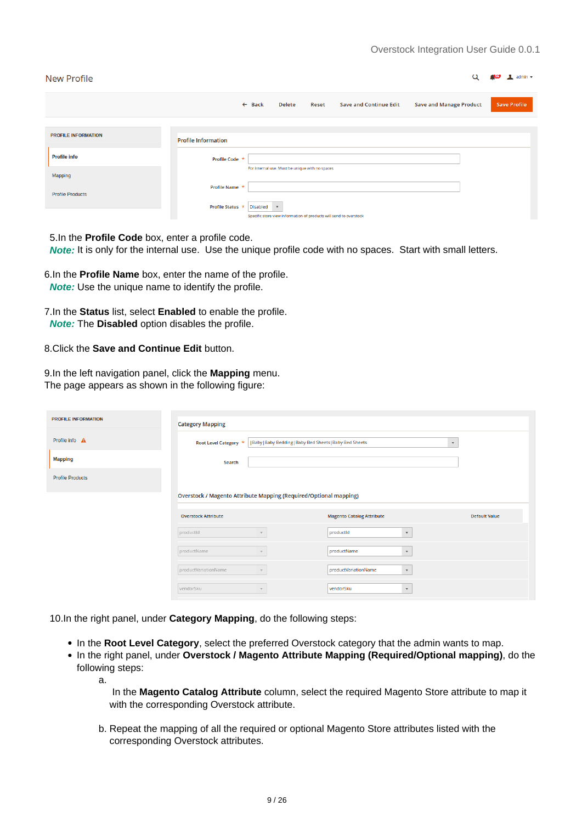| <b>New Profile</b>                 |                            |                   |                                                 |              |                                                                    | Q                              | $\mathbf{\mathbf{I}}$ admin $\mathbf{v}$ |
|------------------------------------|----------------------------|-------------------|-------------------------------------------------|--------------|--------------------------------------------------------------------|--------------------------------|------------------------------------------|
|                                    |                            | $\leftarrow$ Back | <b>Delete</b>                                   | <b>Reset</b> | <b>Save and Continue Edit</b>                                      | <b>Save and Manage Product</b> | <b>Save Profile</b>                      |
| <b>PROFILE INFORMATION</b>         | <b>Profile Information</b> |                   |                                                 |              |                                                                    |                                |                                          |
| <b>Profile info</b>                | Profile Code *             |                   |                                                 |              |                                                                    |                                |                                          |
| Mapping<br><b>Profile Products</b> | Profile Name *             |                   | For internal use. Must be unique with no spaces |              |                                                                    |                                |                                          |
|                                    | Profile Status *           | <b>Disabled</b>   | $\boldsymbol{\mathrm{v}}$                       |              | Specific store view information of products will send to overstock |                                |                                          |

5.In the **Profile Code** box, enter a profile code.

 **Note:** It is only for the internal use. Use the unique profile code with no spaces. Start with small letters.

6.In the **Profile Name** box, enter the name of the profile.  **Note:** Use the unique name to identify the profile.

7.In the **Status** list, select **Enabled** to enable the profile.  **Note:** The **Disabled** option disables the profile.

8.Click the **Save and Continue Edit** button.

a.

9.In the left navigation panel, click the **Mapping** menu. The page appears as shown in the following figure:

| <b>PROFILE INFORMATION</b> | <b>Category Mapping</b>                                           |                                                   |                           |  |  |  |  |
|----------------------------|-------------------------------------------------------------------|---------------------------------------------------|---------------------------|--|--|--|--|
| Profile info A             | Root Level Category *                                             | Baby Baby Bedding Baby Bed Sheets Baby Bed Sheets | $\boldsymbol{\mathrm{v}}$ |  |  |  |  |
| <b>Mapping</b>             | Search                                                            |                                                   |                           |  |  |  |  |
| <b>Profile Products</b>    |                                                                   |                                                   |                           |  |  |  |  |
|                            | Overstock / Magento Attribute Mapping (Required/Optional mapping) |                                                   |                           |  |  |  |  |
|                            | <b>Overstock Attribute</b>                                        | <b>Magento Catalog Attribute</b>                  | <b>Default Value</b>      |  |  |  |  |
|                            | productid                                                         | productid<br>$\boldsymbol{\mathrm{v}}$            |                           |  |  |  |  |
|                            | productName<br>$\mathbf{v}$                                       | productName<br>$\boldsymbol{\mathrm{v}}$          |                           |  |  |  |  |
|                            | productVariationName<br>$\mathbf{v}$                              | productVariationName<br>$\mathbf{v}$              |                           |  |  |  |  |
|                            | vendorSku<br>$\mathbf{v}$                                         | vendorSku<br>$\boldsymbol{\mathrm{v}}$            |                           |  |  |  |  |

10.In the right panel, under **Category Mapping**, do the following steps:

- In the **Root Level Category**, select the preferred Overstock category that the admin wants to map.
- In the right panel, under **Overstock / Magento Attribute Mapping (Required/Optional mapping)**, do the following steps:

 In the **Magento Catalog Attribute** column, select the required Magento Store attribute to map it with the corresponding Overstock attribute.

b. Repeat the mapping of all the required or optional Magento Store attributes listed with the corresponding Overstock attributes.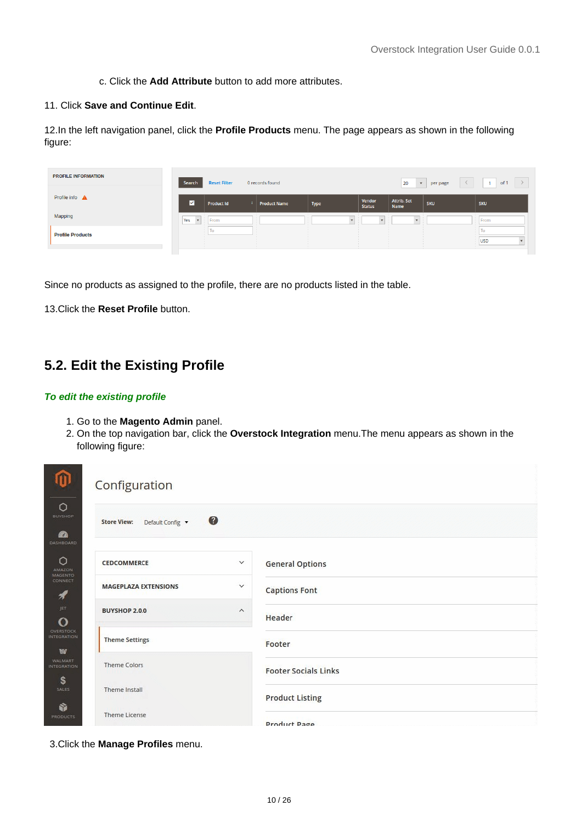c. Click the **Add Attribute** button to add more attributes.

#### <span id="page-9-0"></span>11. Click **Save and Continue Edit**.

12.In the left navigation panel, click the **Profile Products** menu. The page appears as shown in the following figure:

| <b>PROFILE INFORMATION</b> | Search              | <b>Reset Filter</b> | 0 records found     |      |                         | 20<br>$\overline{\phantom{a}}$ | per page   | of 1       |
|----------------------------|---------------------|---------------------|---------------------|------|-------------------------|--------------------------------|------------|------------|
| Profile info A             | M                   | <b>Product Id</b>   | <b>Product Name</b> | Type | Vendor<br><b>Status</b> | <b>Attrib. Set</b><br>Name     | <b>SKU</b> | <b>SKU</b> |
| Mapping                    | Yes<br>$\mathbf{v}$ | From                |                     |      |                         |                                |            | From       |
| <b>Profile Products</b>    |                     |                     |                     |      |                         |                                |            | <b>USD</b> |

Since no products as assigned to the profile, there are no products listed in the table.

13.Click the **Reset Profile** button.

### **5.2. Edit the Existing Profile**

#### **To edit the existing profile**

- 1. Go to the **Magento Admin** panel.
- 2. On the top navigation bar, click the **Overstock Integration** menu.The menu appears as shown in the following figure:

| m                                                | Configuration                                       |                       |                             |
|--------------------------------------------------|-----------------------------------------------------|-----------------------|-----------------------------|
| $\circ$<br><b>BUYSHOP</b><br><b>B</b>            | $\bullet$<br><b>Store View:</b><br>Default Config v |                       |                             |
| DASHBOARD<br>$\circ$<br>AMAZON<br><b>MAGENTO</b> | CEDCOMMERCE                                         | $\checkmark$          | <b>General Options</b>      |
| CONNECT<br>1                                     | <b>MAGEPLAZA EXTENSIONS</b>                         | $\checkmark$          | <b>Captions Font</b>        |
| JET<br>$\mathbf O$                               | <b>BUYSHOP 2.0.0</b>                                | $\boldsymbol{\wedge}$ | Header                      |
| <b>OVERSTOCK</b><br><b>INTEGRATION</b><br>w      | <b>Theme Settings</b>                               |                       | Footer                      |
| <b>WALMART</b><br><b>INTEGRATION</b><br>\$       | Theme Colors                                        |                       | <b>Footer Socials Links</b> |
| SALES<br>ŵ                                       | Theme Install                                       |                       | <b>Product Listing</b>      |
| <b>PRODUCTS</b>                                  | <b>Theme License</b>                                |                       | <b>Product Page</b>         |

3.Click the **Manage Profiles** menu.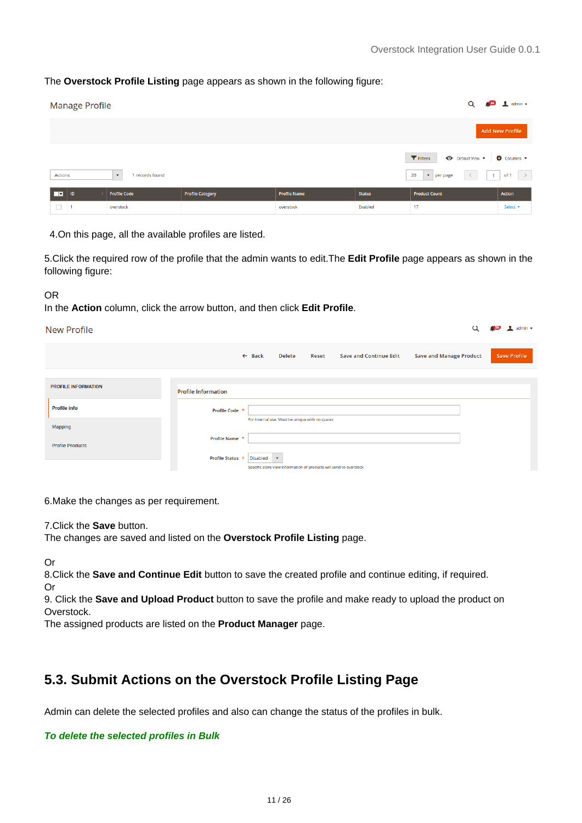Q<sup>o</sup> **L**admin -

#### <span id="page-10-0"></span>The **Overstock Profile Listing** page appears as shown in the following figure:

| <b>Manage Profile</b>                                                         |                         |                                  |                          | Q                                                                                   | $\frac{56}{2}$ admin $\sim$        |
|-------------------------------------------------------------------------------|-------------------------|----------------------------------|--------------------------|-------------------------------------------------------------------------------------|------------------------------------|
|                                                                               |                         |                                  |                          |                                                                                     | <b>Add New Profile</b>             |
| Actions<br>1 records found<br>$\cdot$                                         |                         |                                  |                          | Filters<br>Default View v<br>$\bullet$   per page<br>20<br>$1 -$                    | Columns v<br>$\rightarrow$<br>of 1 |
| <b>Profile Code</b><br>$\overline{\phantom{a}}$<br>ID<br>$\pm$ 1<br>overstock | <b>Profile Category</b> | <b>Profile Name</b><br>overstock | <b>Status</b><br>Enabled | <b>Product Count</b><br><b>COLLEGE</b><br>17<br><b>COLLEGE</b><br><b>COLLECTION</b> | Action<br>Select <b>v</b>          |

4.On this page, all the available profiles are listed.

5.Click the required row of the profile that the admin wants to edit.The **Edit Profile** page appears as shown in the following figure:

#### OR

In the **Action** column, click the arrow button, and then click **Edit Profile**.

#### New Profile

| .                          |                            |                   |                                                 |              |                                                                    |                                |                     |
|----------------------------|----------------------------|-------------------|-------------------------------------------------|--------------|--------------------------------------------------------------------|--------------------------------|---------------------|
|                            |                            | $\leftarrow$ Back | <b>Delete</b>                                   | <b>Reset</b> | <b>Save and Continue Edit</b>                                      | <b>Save and Manage Product</b> | <b>Save Profile</b> |
|                            |                            |                   |                                                 |              |                                                                    |                                |                     |
| <b>PROFILE INFORMATION</b> | <b>Profile Information</b> |                   |                                                 |              |                                                                    |                                |                     |
| <b>Profile info</b>        | Profile Code *             |                   |                                                 |              |                                                                    |                                |                     |
| Mapping                    |                            |                   | For internal use. Must be unique with no spaces |              |                                                                    |                                |                     |
| <b>Profile Products</b>    | Profile Name *             |                   |                                                 |              |                                                                    |                                |                     |
|                            | Profile Status *           | <b>Disabled</b>   | $\boldsymbol{\mathrm{v}}$                       |              | Specific store view information of products will send to overstock |                                |                     |

6.Make the changes as per requirement.

7.Click the **Save** button.

The changes are saved and listed on the **Overstock Profile Listing** page.

Or

8.Click the **Save and Continue Edit** button to save the created profile and continue editing, if required. Or

9. Click the **Save and Upload Product** button to save the profile and make ready to upload the product on Overstock.

The assigned products are listed on the **Product Manager** page.

### **5.3. Submit Actions on the Overstock Profile Listing Page**

Admin can delete the selected profiles and also can change the status of the profiles in bulk.

#### **To delete the selected profiles in Bulk**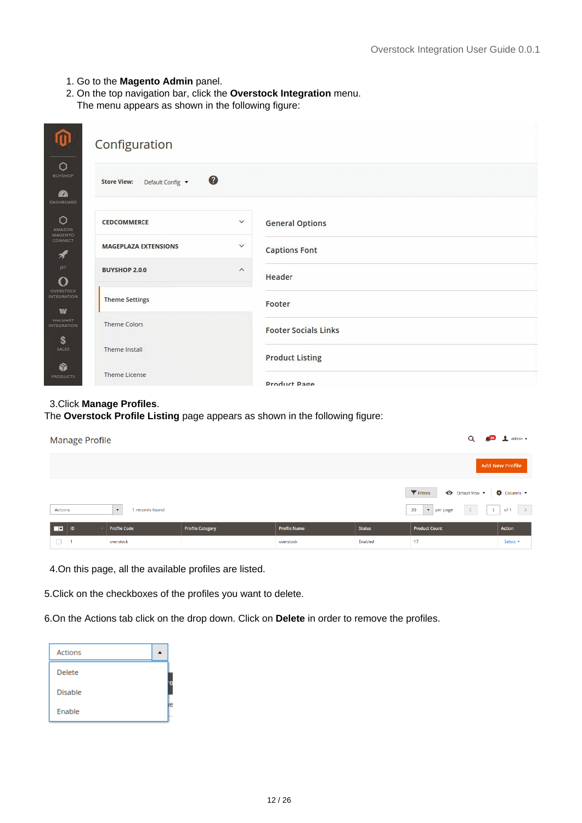- 1. Go to the **Magento Admin** panel.
- 2. On the top navigation bar, click the **Overstock Integration** menu.

The menu appears as shown in the following figure:

|                                                   | Configuration                                       |                             |
|---------------------------------------------------|-----------------------------------------------------|-----------------------------|
| $\circ$<br><b>BUYSHOP</b><br>2<br>DASHBOARD       | $\bullet$<br>Default Config v<br><b>Store View:</b> |                             |
| $\circ$<br>AMAZON                                 | $\checkmark$<br>CEDCOMMERCE                         | <b>General Options</b>      |
| <b>MAGENTO</b><br><b>CONNECT</b><br>$\frac{1}{2}$ | <b>MAGEPLAZA EXTENSIONS</b><br>$\checkmark$         | <b>Captions Font</b>        |
| JET<br>$\mathbf{o}$                               | <b>BUYSHOP 2.0.0</b><br>$\widehat{\phantom{a}}$     | Header                      |
| <b>OVERSTOCK</b><br><b>INTEGRATION</b><br>w       | <b>Theme Settings</b>                               | Footer                      |
| <b>WALMART</b><br><b>INTEGRATION</b><br>\$        | <b>Theme Colors</b>                                 | <b>Footer Socials Links</b> |
| SALES<br>ŵ                                        | Theme Install                                       | <b>Product Listing</b>      |
| <b>PRODUCTS</b>                                   | <b>Theme License</b>                                | Product Page                |

#### 3.Click **Manage Profiles**.

The **Overstock Profile Listing** page appears as shown in the following figure:

| <b>Manage Profile</b>                                     |                         |                     |               | Q                                                                         | $\frac{1}{2}$ solution $\frac{1}{2}$ admin $\frac{1}{2}$ |
|-----------------------------------------------------------|-------------------------|---------------------|---------------|---------------------------------------------------------------------------|----------------------------------------------------------|
|                                                           |                         |                     |               |                                                                           | <b>Add New Profile</b>                                   |
| <b>Actions</b><br>1 records found<br>$\blacktriangledown$ |                         |                     |               | Filters<br>← Default View<br>20<br>$\bullet$   per page<br>$\blacksquare$ | Columns v<br>of 1 $\rightarrow$                          |
| <b>Profile Code</b><br>ш<br>ID                            | <b>Profile Category</b> | <b>Profile Name</b> | <b>Status</b> | <b>Product Count</b>                                                      | Action                                                   |
| $\Box$<br>$\sim$ 1<br>overstock                           |                         | overstock           | Enabled       | 17<br><b>COLLEGE</b>                                                      | Select <b>v</b>                                          |

4.On this page, all the available profiles are listed.

5.Click on the checkboxes of the profiles you want to delete.

6.On the Actions tab click on the drop down. Click on **Delete** in order to remove the profiles.

| <b>Actions</b> |  |
|----------------|--|
| <b>Delete</b>  |  |
| <b>Disable</b> |  |
| Enable         |  |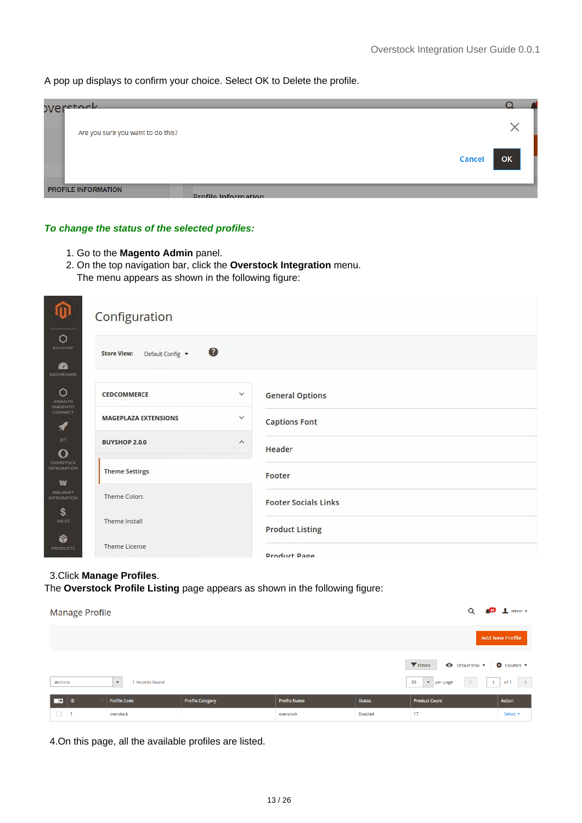A pop up displays to confirm your choice. Select OK to Delete the profile.

| <b>OVerctock</b>                                         |               |    |  |
|----------------------------------------------------------|---------------|----|--|
| Are you sure you want to do this?                        |               |    |  |
|                                                          | <b>Cancel</b> | OK |  |
| <b>PROFILE INFORMATION</b><br><b>Profile Information</b> |               |    |  |

#### **To change the status of the selected profiles:**

- 1. Go to the **Magento Admin** panel.
- 2. On the top navigation bar, click the **Overstock Integration** menu. The menu appears as shown in the following figure:

| $\bf \Phi$<br>Configuration                                                      |                         |                             |
|----------------------------------------------------------------------------------|-------------------------|-----------------------------|
| $\circ$<br><b>BUYSHOP</b><br>Default Config v<br><b>Store View:</b><br><b>CO</b> | $\bullet$               |                             |
| DASHBOARD<br>$\circ$<br><b>CEDCOMMERCE</b><br><b>AMAZON</b><br><b>MAGENTO</b>    | $\checkmark$            | <b>General Options</b>      |
| CONNECT<br><b>MAGEPLAZA EXTENSIONS</b><br>A                                      | $\checkmark$            | <b>Captions Font</b>        |
| JET<br><b>BUYSHOP 2.0.0</b><br>O                                                 | $\widehat{\phantom{a}}$ | Header                      |
| <b>OVERSTOCK</b><br><b>INTEGRATION</b><br><b>Theme Settings</b><br>w             |                         | Footer                      |
| <b>WALMART</b><br><b>Theme Colors</b><br><b>INTEGRATION</b>                      |                         | <b>Footer Socials Links</b> |
| \$<br>Theme Install<br>SALES                                                     |                         | <b>Product Listing</b>      |
| ŵ<br>Theme License<br><b>PRODUCTS</b>                                            |                         | Product Page                |

### 3.Click **Manage Profiles**.

The **Overstock Profile Listing** page appears as shown in the following figure:

| <b>Manage Profile</b> |                                         |                         |                     |               | Q                                                                                    | $\frac{155}{2}$ admin $\sim$           |
|-----------------------|-----------------------------------------|-------------------------|---------------------|---------------|--------------------------------------------------------------------------------------|----------------------------------------|
|                       |                                         |                         |                     |               |                                                                                      | <b>Add New Profile</b>                 |
| Actions               | 1 records found<br>$\blacktriangledown$ |                         |                     |               | Filters<br>Default View v<br>20<br>$\langle$<br>$\blacksquare$<br>$\bullet$ per page | <b>O</b> Columns<br>of 1 $\rightarrow$ |
| п<br>ID               | <b>Profile Code</b>                     | <b>Profile Category</b> | <b>Profile Name</b> | <b>Status</b> | <b>Product Count</b>                                                                 | Action                                 |
| $\Box$<br>- 1         | overstock                               |                         | overstock           | Enabled       | 17<br><b>The Company</b><br><b>COLLEGE</b>                                           | Select <b>v</b>                        |

4.On this page, all the available profiles are listed.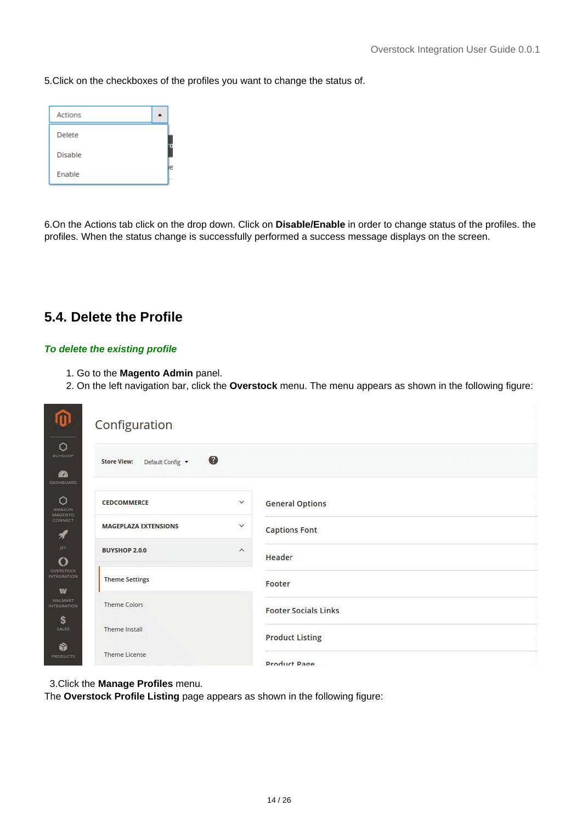<span id="page-13-0"></span>5.Click on the checkboxes of the profiles you want to change the status of.

| <b>Actions</b> |  |
|----------------|--|
| <b>Delete</b>  |  |
| <b>Disable</b> |  |
| Enable         |  |

6.On the Actions tab click on the drop down. Click on **Disable/Enable** in order to change status of the profiles. the profiles. When the status change is successfully performed a success message displays on the screen.

### **5.4. Delete the Profile**

#### **To delete the existing profile**

- 1. Go to the **Magento Admin** panel.
- 2. On the left navigation bar, click the **Overstock** menu. The menu appears as shown in the following figure:

| m                                                  | Configuration                                   |                             |
|----------------------------------------------------|-------------------------------------------------|-----------------------------|
| $\circ$<br><b>BUYSHOP</b><br><b>B</b><br>DASHBOARD | ◙<br>Default Config v<br><b>Store View:</b>     |                             |
| $\circ$<br><b>AMAZON</b>                           | $\checkmark$<br><b>CEDCOMMERCE</b>              | <b>General Options</b>      |
| <b>MAGENTO</b><br><b>CONNECT</b><br>1              | <b>MAGEPLAZA EXTENSIONS</b><br>$\checkmark$     | <b>Captions Font</b>        |
| JET<br>O                                           | <b>BUYSHOP 2.0.0</b><br>$\widehat{\phantom{a}}$ | Header                      |
| <b>OVERSTOCK</b><br><b>INTEGRATION</b><br>w        | <b>Theme Settings</b>                           | Footer                      |
| <b>WALMART</b><br><b>INTEGRATION</b><br>\$         | Theme Colors                                    | <b>Footer Socials Links</b> |
| <b>SALES</b><br>ŵ                                  | Theme Install                                   | <b>Product Listing</b>      |
| <b>PRODUCTS</b>                                    | <b>Theme License</b>                            | <b>Product Page</b>         |

3.Click the **Manage Profiles** menu.

The **Overstock Profile Listing** page appears as shown in the following figure: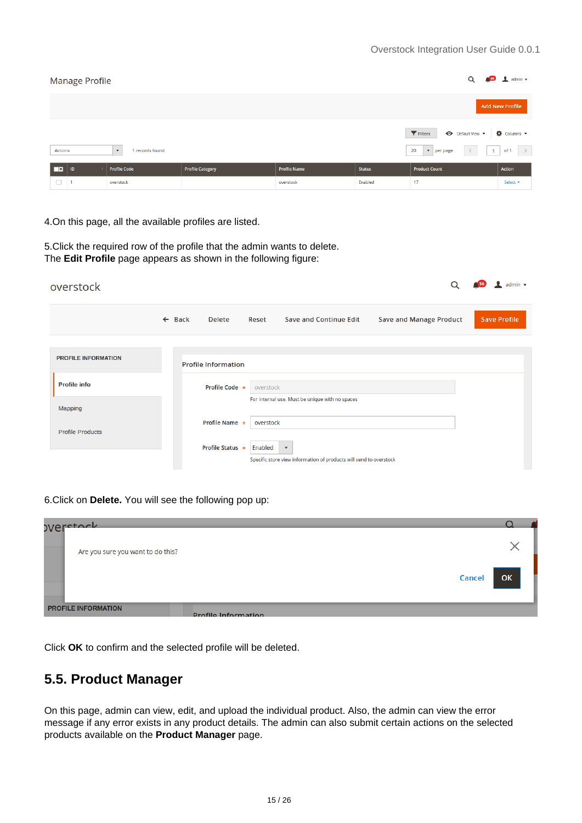<span id="page-14-0"></span>

| <b>Manage Profile</b>                                                                                             |                        |                         | Q                   | $\frac{1}{2}$ 56 admin $\sqrt{ }$ |                                           |                 |  |  |  |
|-------------------------------------------------------------------------------------------------------------------|------------------------|-------------------------|---------------------|-----------------------------------|-------------------------------------------|-----------------|--|--|--|
|                                                                                                                   | <b>Add New Profile</b> |                         |                     |                                   |                                           |                 |  |  |  |
| Filters<br>Default View v<br>20<br>$\bullet$   per page<br>Actions<br>1 records found<br>$\overline{\phantom{a}}$ |                        |                         |                     |                                   |                                           |                 |  |  |  |
| ш<br>ID                                                                                                           | <b>Profile Code</b>    | <b>Profile Category</b> | <b>Profile Name</b> | <b>Status</b>                     | <b>Product Count</b>                      | <b>Action</b>   |  |  |  |
| $\Box$<br>$\sim$ 1                                                                                                | overstock              |                         | overstock           | Enabled                           | 17<br><b>COLLEGE</b><br><b>COLLECTION</b> | Select <b>v</b> |  |  |  |

4.On this page, all the available profiles are listed.

5.Click the required row of the profile that the admin wants to delete. The **Edit Profile** page appears as shown in the following figure:

| overstock                  |                   |                            |           |                                                                                               |                                | admin $\star$       |
|----------------------------|-------------------|----------------------------|-----------|-----------------------------------------------------------------------------------------------|--------------------------------|---------------------|
|                            | $\leftarrow$ Back | <b>Delete</b>              | Reset     | <b>Save and Continue Edit</b>                                                                 | <b>Save and Manage Product</b> | <b>Save Profile</b> |
|                            |                   |                            |           |                                                                                               |                                |                     |
| <b>PROFILE INFORMATION</b> |                   | <b>Profile Information</b> |           |                                                                                               |                                |                     |
| <b>Profile info</b>        |                   | Profile Code *             | overstock |                                                                                               |                                |                     |
| <b>Mapping</b>             |                   |                            |           | For internal use. Must be unique with no spaces                                               |                                |                     |
| <b>Profile Products</b>    |                   | Profile Name *             | overstock |                                                                                               |                                |                     |
|                            |                   | <b>Profile Status *</b>    | Enabled   | $\overline{\mathbf{v}}$<br>Specific store view information of products will send to overstock |                                |                     |

6.Click on **Delete.** You will see the following pop up:



Click **OK** to confirm and the selected profile will be deleted.

### **5.5. Product Manager**

On this page, admin can view, edit, and upload the individual product. Also, the admin can view the error message if any error exists in any product details. The admin can also submit certain actions on the selected products available on the **Product Manager** page.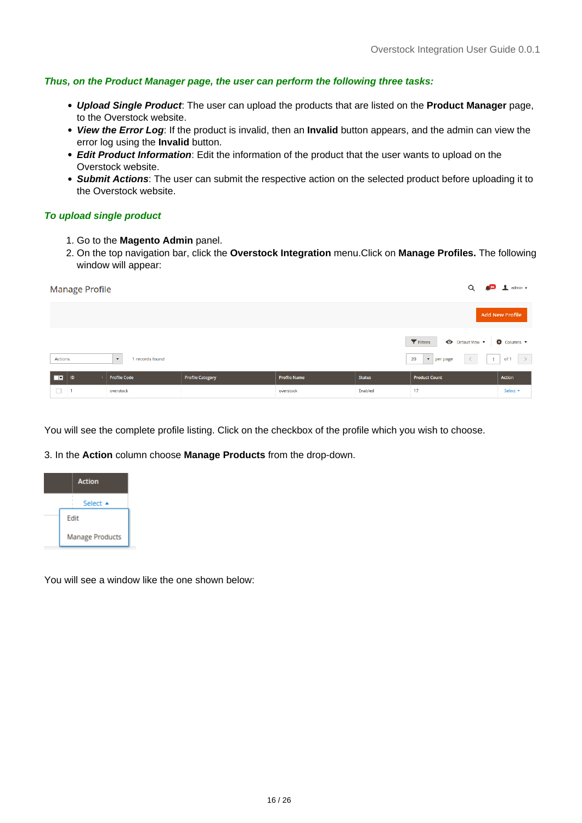#### **Thus, on the Product Manager page, the user can perform the following three tasks:**

- **Upload Single Product**: The user can upload the products that are listed on the **Product Manager** page, to the Overstock website.
- **View the Error Log**: If the product is invalid, then an **Invalid** button appears, and the admin can view the error log using the **Invalid** button.
- **Edit Product Information**: Edit the information of the product that the user wants to upload on the Overstock website.
- **Submit Actions**: The user can submit the respective action on the selected product before uploading it to the Overstock website.

#### **To upload single product**

- 1. Go to the **Magento Admin** panel.
- 2. On the top navigation bar, click the **Overstock Integration** menu.Click on **Manage Profiles.** The following window will appear:

| $\frac{1}{2}$ 36 $\frac{1}{2}$ admin $\sqrt{ }$<br>Q<br><b>Manage Profile</b> |                         |                     |               |                                             |                       |  |  |  |  |  |
|-------------------------------------------------------------------------------|-------------------------|---------------------|---------------|---------------------------------------------|-----------------------|--|--|--|--|--|
| <b>Add New Profile</b>                                                        |                         |                     |               |                                             |                       |  |  |  |  |  |
| Columns v<br><b>T</b> Filters<br>Default View v                               |                         |                     |               |                                             |                       |  |  |  |  |  |
| Actions<br>1 records found<br>$\pmb{\cdot}$                                   |                         |                     |               | 20<br>$\bullet$   per page<br>. 11<br>$\lt$ | $\rightarrow$<br>of 1 |  |  |  |  |  |
| <b>Profile Code</b><br>ш<br>ID                                                | <b>Profile Category</b> | <b>Profile Name</b> | <b>Status</b> | <b>Product Count</b>                        | Action                |  |  |  |  |  |
| $\Box$ 1<br>overstock                                                         |                         | overstock           | Enabled       | $\frac{17}{1}$                              | Select ▼<br>$\sim$    |  |  |  |  |  |

You will see the complete profile listing. Click on the checkbox of the profile which you wish to choose.

3. In the **Action** column choose **Manage Products** from the drop-down.



You will see a window like the one shown below: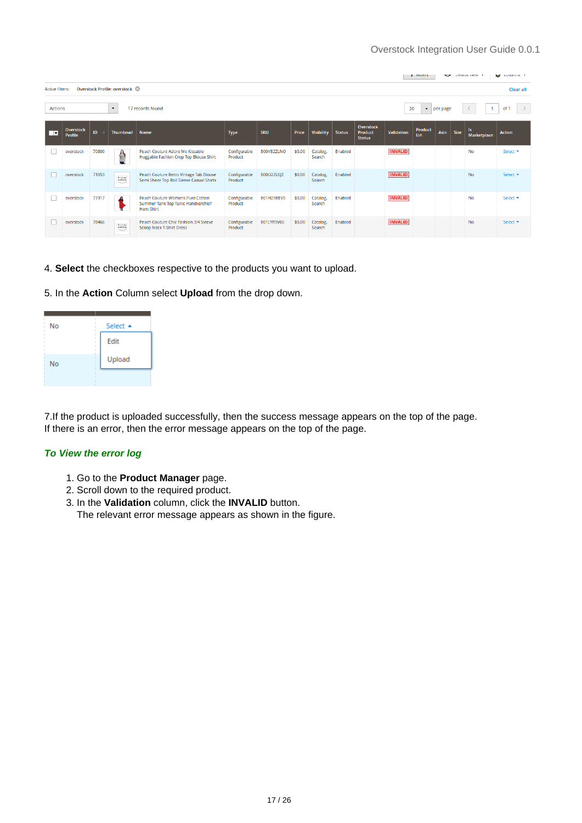|                                                                                                 | <b>ME CORDINAL *</b><br><b>DETORIL VIEW</b><br><b>I</b> FIREIS<br>$-$ |       |                      |                                                                                            |                         |                   |        |                    |               |                                                     |                   |                |      |      |                    |                 |
|-------------------------------------------------------------------------------------------------|-----------------------------------------------------------------------|-------|----------------------|--------------------------------------------------------------------------------------------|-------------------------|-------------------|--------|--------------------|---------------|-----------------------------------------------------|-------------------|----------------|------|------|--------------------|-----------------|
|                                                                                                 | Overstock Profile: overstock<br><b>Active filters:</b><br>Clear all   |       |                      |                                                                                            |                         |                   |        |                    |               |                                                     |                   |                |      |      |                    |                 |
| 17 records found<br><b>Actions</b><br>20<br>of<br>$\blacktriangledown$<br>$\bullet$<br>per page |                                                                       |       |                      |                                                                                            |                         |                   |        |                    |               |                                                     |                   |                |      |      |                    |                 |
| $\overline{\phantom{a}}$                                                                        | Overstock<br><b>Profile</b>                                           | ID.   | <b>Thumbnail</b>     | Name                                                                                       | <b>Type</b>             | <b>SKU</b>        | Price  | <b>Visibility</b>  | <b>Status</b> | <b>Overstock</b><br><b>Product</b><br><b>Status</b> | <b>Validation</b> | Product<br>Url | Asin | Size | ls.<br>Marketplace | <b>Action</b>   |
| a.                                                                                              | overstock                                                             | 70800 | Ω<br>$\mathbb{R}$    | Peach Couture Adore Me Kissable<br>Huggable Fashion Crop Top Blouse Shirt                  | Configurable<br>Product | B00YB2ZLNO        | \$0.00 | Catalog,<br>Search | Enabled       |                                                     | <b>INVALID</b>    |                |      |      | <b>No</b>          | Select <b>v</b> |
|                                                                                                 | overstock                                                             | 71053 | No incore<br>malable | Peach Couture Retro Vintage Tab Blouse<br>Semi Sheer Top Roll Sleeve Casual Shirts         | Configurable<br>Product | B00U2ZL6J2        | \$0.00 | Catalog,<br>Search | Enabled       |                                                     | <b>INVALID</b>    |                |      |      | <b>No</b>          | Select *        |
|                                                                                                 | overstock                                                             | 77317 |                      | Peach Couture Womens Pure Cotton<br>Summer Tank Top Tunic Handkerchief<br><b>Hem Shirt</b> | Configurable<br>Product | B01H29BEV0        | \$0.00 | Catalog,<br>Search | Enabled       |                                                     | <b>INVALID</b>    |                |      |      | No                 | Select <b>v</b> |
|                                                                                                 | overstock                                                             | 78466 | No innow<br>malable  | Peach Couture Chic Fashion 3/4 Sleeve<br><b>Scoop Neck T-Shirt Dress</b>                   | Configurable<br>Product | <b>B01LYR9V65</b> | \$0.00 | Catalog,<br>Search | Enabled       |                                                     | <b>INVALID</b>    |                |      |      | <b>No</b>          | Select <b>v</b> |

- 4. **Select** the checkboxes respective to the products you want to upload.
- 5. In the **Action** Column select **Upload** from the drop down.



7.If the product is uploaded successfully, then the success message appears on the top of the page. If there is an error, then the error message appears on the top of the page.

#### **To View the error log**

- 1. Go to the **Product Manager** page.
- 2. Scroll down to the required product.
- 3. In the **Validation** column, click the **INVALID** button.

The relevant error message appears as shown in the figure.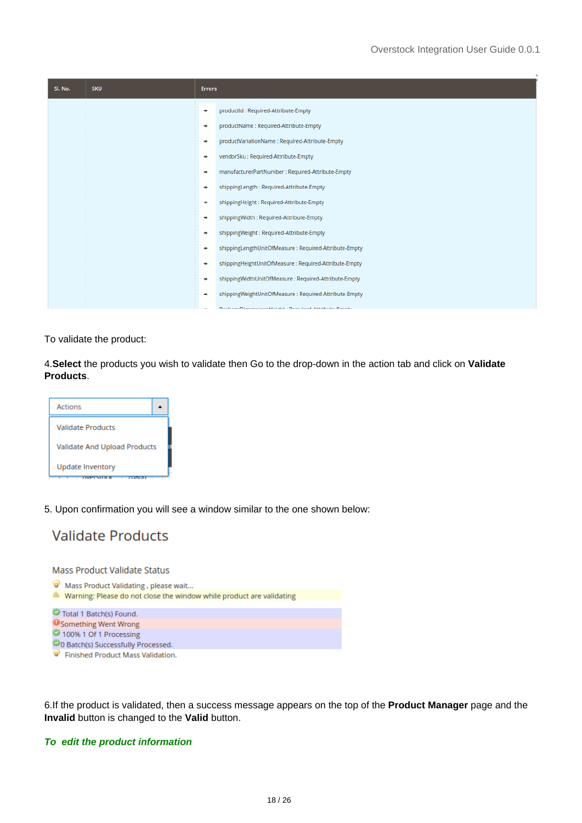| SI. No. | <b>SKU</b> | <b>Errors</b> |                                                         |
|---------|------------|---------------|---------------------------------------------------------|
|         |            | $\rightarrow$ | productId: Required-Attribute-Empty                     |
|         |            | ₩             | productName: Required-Attribute-Empty                   |
|         |            | ₩             | productVariationName: Required-Attribute-Empty          |
|         |            | ₩             | vendorSku: Required-Attribute-Empty                     |
|         |            | ₩             | manufacturerPartNumber : Required-Attribute-Empty       |
|         |            | $\rightarrow$ | shippingLength: Required-Attribute-Empty                |
|         |            | ₩             | shippingHeight: Required-Attribute-Empty                |
|         |            | ₩             | shippingWidth: Required-Attribute-Empty                 |
|         |            | ₩             | shippingWeight: Required-Attribute-Empty                |
|         |            | ₩             | shippingLengthUnitOfMeasure: Required-Attribute-Empty   |
|         |            | $\rightarrow$ | shippingHeightUnitOfMeasure: Required-Attribute-Empty   |
|         |            | ₩             | shippingWidthUnitOfMeasure: Required-Attribute-Empty    |
|         |            | $\rightarrow$ | shippingWeightUnitOfMeasure: Required-Attribute-Empty   |
|         |            |               | <b>DazkanoDimonsionsWoinkt: Domirod Attributo Empty</b> |

To validate the product:

4.**Select** the products you wish to validate then Go to the drop-down in the action tab and click on **Validate Products**.



5. Upon confirmation you will see a window similar to the one shown below:



Mass Product Validate Status

- Mass Product Validating, please wait...
- Narning: Please do not close the window while product are validating
- Total 1 Batch(s) Found. **O** Something Went Wrong 100% 1 Of 1 Processing
- CO Batch(s) Successfully Processed.
- Finished Product Mass Validation.

6.If the product is validated, then a success message appears on the top of the **Product Manager** page and the **Invalid** button is changed to the **Valid** button.

#### **To edit the product information**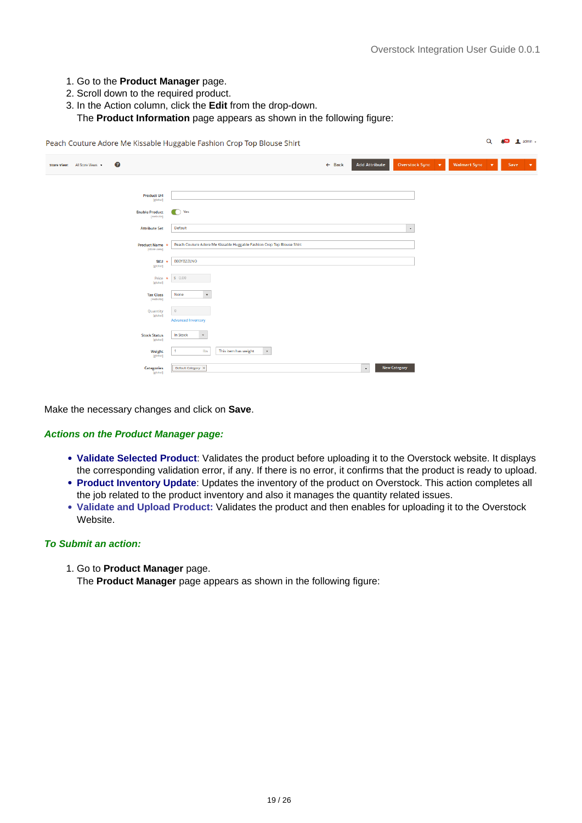Q **459 1** admin -

- 1. Go to the **Product Manager** page.
- 2. Scroll down to the required product.
- 3. In the Action column, click the **Edit** from the drop-down.

The **Product Information** page appears as shown in the following figure:

Peach Couture Adore Me Kissable Huggable Fashion Crop Top Blouse Shirt

| $\boldsymbol{c}$<br>Store View: All Store Views + | Overstock Sync v<br><b>Add Attribute</b><br>Walmart Sync v<br>$\leftarrow$ Back<br>Save<br>$\mathbf{v}$ |
|---------------------------------------------------|---------------------------------------------------------------------------------------------------------|
| <b>Product Url</b><br>[global]                    |                                                                                                         |
| <b>Enable Product</b><br>[website]                | $\bigcirc$ Yes                                                                                          |
| <b>Attribute Set</b>                              | Default<br>$\star$                                                                                      |
| Product Name *<br>[store view]                    | Peach Couture Adore Me Kissable Huggable Fashion Crop Top Blouse Shirt                                  |
| <b>SKU</b><br>[global]                            | B00YB2ZLNO                                                                                              |
| Price $\star$<br>[global]                         | \$0.00                                                                                                  |
| <b>Tax Class</b><br>[website]                     | $\scriptstyle\rm v$<br>None                                                                             |
| Quantity<br>[global]                              | $\mathbf{0}$<br><b>Advanced Inventory</b>                                                               |
| <b>Stock Status</b><br>[global]                   | In Stock<br>$\mathbf{v}$                                                                                |
| Weight<br>[global]                                | $\bar{\phantom{a}}$<br>Ibs<br>This item has weight<br>$\overline{1}$                                    |
| <b>Categories</b>                                 | <b>New Category</b><br>$_{\star}$<br>Default Category X                                                 |

Make the necessary changes and click on **Save**.

#### **Actions on the Product Manager page:**

- **Validate Selected Product**: Validates the product before uploading it to the Overstock website. It displays the corresponding validation error, if any. If there is no error, it confirms that the product is ready to upload.
- **Product Inventory Update**: Updates the inventory of the product on Overstock. This action completes all the job related to the product inventory and also it manages the quantity related issues.
- **Validate and Upload Product:** Validates the product and then enables for uploading it to the Overstock Website.

#### **To Submit an action:**

1. Go to **Product Manager** page.

The **Product Manager** page appears as shown in the following figure: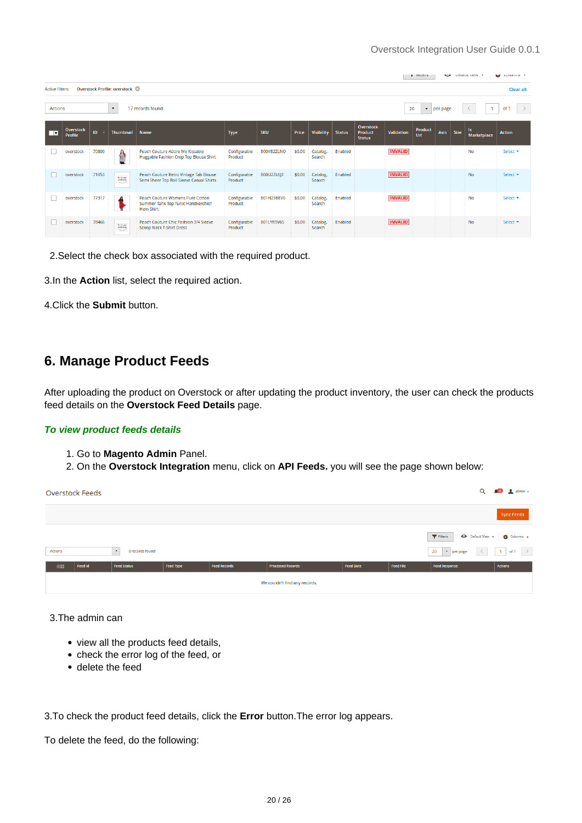<span id="page-19-0"></span>

|                                                                  |                                                                       |       |                      |                                                                                                   |                         |            |        |                       |               |                                                     |                   | <b>FIRED</b>   | v    |      | <b>LICIQUIL VICW</b> | <b>ME CORDINAL *</b> |
|------------------------------------------------------------------|-----------------------------------------------------------------------|-------|----------------------|---------------------------------------------------------------------------------------------------|-------------------------|------------|--------|-----------------------|---------------|-----------------------------------------------------|-------------------|----------------|------|------|----------------------|----------------------|
|                                                                  | Overstock Profile: overstock &<br><b>Active filters:</b><br>Clear all |       |                      |                                                                                                   |                         |            |        |                       |               |                                                     |                   |                |      |      |                      |                      |
| 17 records found<br><b>Actions</b><br>20<br>$\bullet$   per page |                                                                       |       |                      |                                                                                                   |                         |            |        | $\rightarrow$<br>of 1 |               |                                                     |                   |                |      |      |                      |                      |
| ▐▔▛                                                              | <b>Overstock</b><br><b>Profile</b>                                    | ID.   | <b>Thumbnail</b>     | Name                                                                                              | <b>Type</b>             | <b>SKU</b> | Price  | <b>Visibility</b>     | <b>Status</b> | <b>Overstock</b><br><b>Product</b><br><b>Status</b> | <b>Validation</b> | Product<br>Url | Asin | Size | ls.<br>Marketplace   | <b>Action</b>        |
|                                                                  | overstock                                                             | 70800 | 御                    | Peach Couture Adore Me Kissable<br>Huggable Fashion Crop Top Blouse Shirt                         | Configurable<br>Product | B00YB2ZLNO | \$0.00 | Catalog,<br>Search    | Enabled       |                                                     | <b>INVALID</b>    |                |      |      | No                   | Select <b>v</b>      |
|                                                                  | overstock                                                             | 71053 | No innote<br>malable | Peach Couture Retro Vintage Tab Blouse<br>Semi Sheer Top Roll Sleeve Casual Shirts                | Configurable<br>Product | B00U2ZL6J2 | \$0.00 | Catalog,<br>Search    | Enabled       |                                                     | <b>INVALID</b>    |                |      |      | <b>No</b>            | Select *             |
|                                                                  | overstock                                                             | 77317 |                      | <b>Peach Couture Womens Pure Cotton</b><br>Summer Tank Top Tunic Handkerchief<br><b>Hem Shirt</b> | Configurable<br>Product | B01H29BEV0 | \$0.00 | Catalog,<br>Search    | Enabled       |                                                     | <b>INVALID</b>    |                |      |      | <b>No</b>            | Select <b>v</b>      |
|                                                                  | overstock                                                             | 78466 | No incore<br>malable | Peach Couture Chic Fashion 3/4 Sleeve<br><b>Scoop Neck T-Shirt Dress</b>                          | Configurable<br>Product | B01LYR9V65 | \$0.00 | Catalog,<br>Search    | Enabled       |                                                     | <b>INVALID</b>    |                |      |      | No                   | Select <b>v</b>      |

2.Select the check box associated with the required product.

3.In the **Action** list, select the required action.

4.Click the **Submit** button.

### **6. Manage Product Feeds**

After uploading the product on Overstock or after updating the product inventory, the user can check the products feed details on the **Overstock Feed Details** page.

#### **To view product feeds details**

- 1. Go to **Magento Admin** Panel.
- 2. On the **Overstock Integration** menu, click on **API Feeds.** you will see the page shown below:

|                | <b>Overstock Feeds</b> |                                        |           |                     |                               |                  |                  | Q                                     | <b>SS</b> dimin -            |
|----------------|------------------------|----------------------------------------|-----------|---------------------|-------------------------------|------------------|------------------|---------------------------------------|------------------------------|
|                |                        |                                        |           |                     |                               |                  |                  |                                       | <b>Sync Feeds</b>            |
|                |                        |                                        |           |                     |                               |                  |                  | $\blacktriangledown$ Filters          | Default View v   2 Columns v |
| Actions        |                        | 0 records found<br>$\scriptstyle\star$ |           |                     |                               |                  |                  | 20<br>$\langle \rangle$ .<br>Per page | $1$ of $1$ $>$               |
| $\blacksquare$ | Feed Id                | <b>Feed Status</b>                     | Feed Type | <b>Feed Records</b> | <b>Processed Records</b>      | <b>Feed Date</b> | <b>Feed File</b> | <b>Feed Response</b>                  | Actions                      |
|                |                        |                                        |           |                     | We couldn't find any records. |                  |                  |                                       |                              |

3.The admin can

- view all the products feed details,
- check the error log of the feed, or
- delete the feed

3.To check the product feed details, click the **Error** button.The error log appears.

To delete the feed, do the following: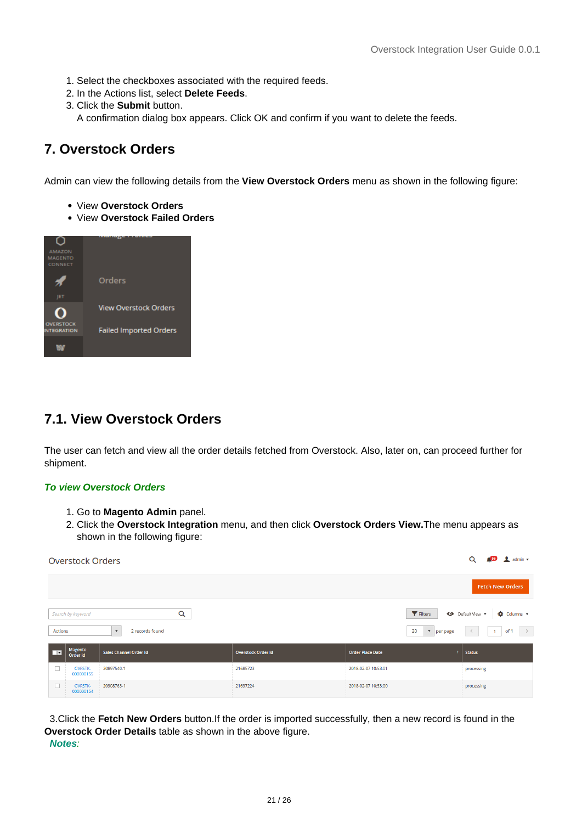- <span id="page-20-0"></span>1. Select the checkboxes associated with the required feeds.
- 2. In the Actions list, select **Delete Feeds**.
- 3. Click the **Submit** button.

A confirmation dialog box appears. Click OK and confirm if you want to delete the feeds.

### **7. Overstock Orders**

Admin can view the following details from the **View Overstock Orders** menu as shown in the following figure:

- View **Overstock Orders**
- View **Overstock Failed Orders**



### **7.1. View Overstock Orders**

The user can fetch and view all the order details fetched from Overstock. Also, later on, can proceed further for shipment.

#### **To view Overstock Orders**

- 1. Go to **Magento Admin** panel.
- 2. Click the **Overstock Integration** menu, and then click **Overstock Orders View.**The menu appears as shown in the following figure:

|                          | <b>Overstock Orders</b>     |                                             |                           |                            | $\frac{56}{20}$ admin $\sim$<br>Q       |
|--------------------------|-----------------------------|---------------------------------------------|---------------------------|----------------------------|-----------------------------------------|
|                          |                             |                                             |                           |                            | <b>Fetch New Orders</b>                 |
|                          | Search by keyword           | Q                                           |                           | Filters                    | <b>O</b> Columns ▼<br>← Default View    |
| <b>Actions</b>           |                             | 2 records found<br>$\overline{\phantom{a}}$ |                           | 20<br>$\bullet$   per page | $\rightarrow$<br>of 1<br>$\overline{1}$ |
| □□                       | Magento<br>Order id         | <b>Sales Channel Order Id</b>               | <b>Overstock Order Id</b> | <b>Order Place Date</b>    | <b>Status</b>                           |
| $\overline{\phantom{a}}$ | <b>OVRSTK-</b><br>000000155 | 20897540-1                                  | 21685723                  | 2018-02-07 10:53:01        | processing                              |
|                          | <b>OVRSTK-</b><br>000000154 | 20908763-1                                  | 21697224                  | 2018-02-07 10:53:00        | processing                              |

 3.Click the **Fetch New Orders** button.If the order is imported successfully, then a new record is found in the **Overstock Order Details** table as shown in the above figure.  **Notes**: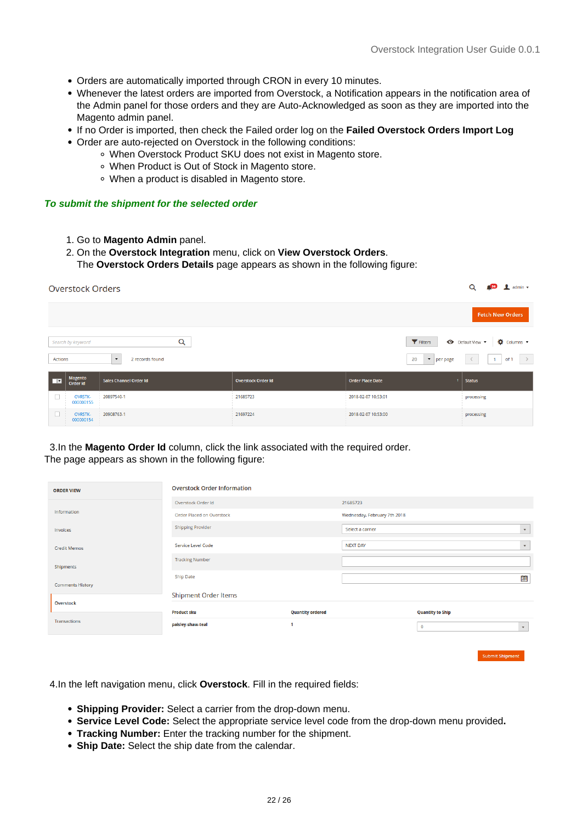- Orders are automatically imported through CRON in every 10 minutes.
- Whenever the latest orders are imported from Overstock, a Notification appears in the notification area of the Admin panel for those orders and they are Auto-Acknowledged as soon as they are imported into the Magento admin panel.
- If no Order is imported, then check the Failed order log on the **Failed Overstock Orders Import Log**
- Order are auto-rejected on Overstock in the following conditions:
	- When Overstock Product SKU does not exist in Magento store.
	- When Product is Out of Stock in Magento store.
	- When a product is disabled in Magento store.

#### **To submit the shipment for the selected order**

- 1. Go to **Magento Admin** panel.
- 2. On the **Overstock Integration** menu, click on **View Overstock Orders**.

The **Overstock Orders Details** page appears as shown in the following figure:

|              | <b>Overstock Orders</b>     |                                         |                               |                                     |                                                      |  |  |  |  |  |  |  |
|--------------|-----------------------------|-----------------------------------------|-------------------------------|-------------------------------------|------------------------------------------------------|--|--|--|--|--|--|--|
|              |                             |                                         |                               |                                     | <b>Fetch New Orders</b>                              |  |  |  |  |  |  |  |
|              | Search by keyword           | Q                                       |                               | Filters                             | <b>O</b> Columns ▼<br>← Default View ▼               |  |  |  |  |  |  |  |
| Actions      |                             | 2 records found<br>$\blacktriangledown$ |                               | 20<br>$\bullet$ per page            | $\rightarrow$<br>of 1<br>$\overline{1}$<br>$\langle$ |  |  |  |  |  |  |  |
| <b>I</b>     | Magento<br>Order id         | <b>Sales Channel Order Id</b>           | <b>Overstock Order Id</b>     | <b>Order Place Date</b>             | <b>Status</b>                                        |  |  |  |  |  |  |  |
| П            | <b>OVRSTK-</b><br>000000155 | 20897540-1                              | 21685723                      | 2018-02-07 10:53:01                 | processing                                           |  |  |  |  |  |  |  |
| $\mathbf{I}$ | <b>OVRSTK-</b><br>000000154 | 20908763-1<br><b>STEP</b>               | 21697224<br><b>TELEVISION</b> | 2018-02-07 10:53:00<br><b>STATE</b> | processing<br><b>COLLEGE</b>                         |  |  |  |  |  |  |  |

 3.In the **Magento Order Id** column, click the link associated with the required order. The page appears as shown in the following figure:

| <b>ORDER VIEW</b>       | <b>Overstock Order Information</b> |                         |                              |                         |                           |
|-------------------------|------------------------------------|-------------------------|------------------------------|-------------------------|---------------------------|
|                         | Overstock Order Id                 |                         | 21685723                     |                         |                           |
| Information             | Order Placed on Overstock          |                         | Wednesday, February 7th 2018 |                         |                           |
| Invoices                | <b>Shipping Provider</b>           |                         | Select a carrier             |                         | $\boldsymbol{\mathrm{v}}$ |
| <b>Credit Memos</b>     | Service Level Code                 |                         | <b>NEXT DAY</b>              |                         | $\boldsymbol{\mathrm{v}}$ |
| Shipments               | <b>Tracking Number</b>             |                         |                              |                         |                           |
| <b>Comments History</b> | <b>Ship Date</b>                   |                         |                              |                         | è                         |
|                         | <b>Shipment Order Items</b>        |                         |                              |                         |                           |
| <b>Overstock</b>        | <b>Product sku</b>                 | <b>Quantity ordered</b> |                              | <b>Quantity to Ship</b> |                           |
| <b>Transactions</b>     | paisley-shaw-teal                  |                         |                              | $\bf{0}$                | $\boldsymbol{\mathrm{v}}$ |

Submit Shipment

4.In the left navigation menu, click **Overstock**. Fill in the required fields:

- **Shipping Provider:** Select a carrier from the drop-down menu.
- **Service Level Code:** Select the appropriate service level code from the drop-down menu provided**.**
- **Tracking Number:** Enter the tracking number for the shipment.
- **Ship Date:** Select the ship date from the calendar.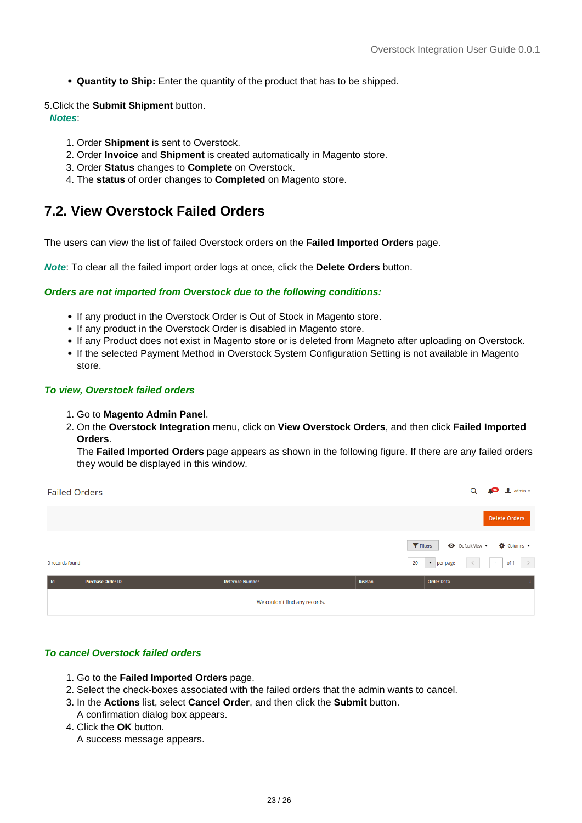<span id="page-22-0"></span>**Quantity to Ship:** Enter the quantity of the product that has to be shipped.

5.Click the **Submit Shipment** button.

 **Notes**:

- 1. Order **Shipment** is sent to Overstock.
- 2. Order **Invoice** and **Shipment** is created automatically in Magento store.
- 3. Order **Status** changes to **Complete** on Overstock.
- 4. The **status** of order changes to **Completed** on Magento store.

### **7.2. View Overstock Failed Orders**

The users can view the list of failed Overstock orders on the **Failed Imported Orders** page.

**Note**: To clear all the failed import order logs at once, click the **Delete Orders** button.

#### **Orders are not imported from Overstock due to the following conditions:**

- If any product in the Overstock Order is Out of Stock in Magento store.
- If any product in the Overstock Order is disabled in Magento store.
- If any Product does not exist in Magento store or is deleted from Magneto after uploading on Overstock.
- If the selected Payment Method in Overstock System Configuration Setting is not available in Magento store.

#### **To view, Overstock failed orders**

- 1. Go to **Magento Admin Panel**.
- 2. On the **Overstock Integration** menu, click on **View Overstock Orders**, and then click **Failed Imported Orders**.

The **Failed Imported Orders** page appears as shown in the following figure. If there are any failed orders they would be displayed in this window.

| <b>Failed Orders</b> |                          |                               |        | Q                                                                                   | $\blacksquare$ admin $\blacktriangleright$                           |
|----------------------|--------------------------|-------------------------------|--------|-------------------------------------------------------------------------------------|----------------------------------------------------------------------|
|                      |                          |                               |        |                                                                                     | <b>Delete Orders</b>                                                 |
| 0 records found      |                          |                               |        | Filters<br>$\langle\langle\,\cdot\, \,\cdot\,\rangle$<br>20<br>$\bullet$   per page | Default View v <b>Q</b> Columns v<br>of 1 $\rightarrow$<br>$\vert$ 1 |
| l Id                 | <b>Purchase Order ID</b> | <b>Refernce Number</b>        | Reason | <b>Order Data</b>                                                                   |                                                                      |
|                      |                          | We couldn't find any records. |        |                                                                                     |                                                                      |

#### **To cancel Overstock failed orders**

- 1. Go to the **Failed Imported Orders** page.
- 2. Select the check-boxes associated with the failed orders that the admin wants to cancel.
- 3. In the **Actions** list, select **Cancel Order**, and then click the **Submit** button. A confirmation dialog box appears.
- 4. Click the **OK** button.

A success message appears.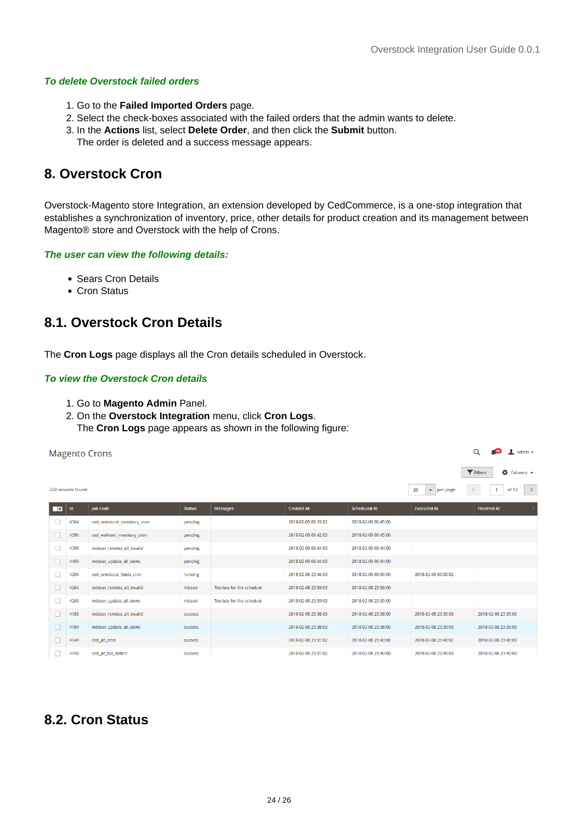#### <span id="page-23-0"></span>**To delete Overstock failed orders**

- 1. Go to the **Failed Imported Orders** page.
- 2. Select the check-boxes associated with the failed orders that the admin wants to delete.
- 3. In the **Actions** list, select **Delete Order**, and then click the **Submit** button.
	- The order is deleted and a success message appears.

### **8. Overstock Cron**

Overstock-Magento store Integration, an extension developed by CedCommerce, is a one-stop integration that establishes a synchronization of inventory, price, other details for product creation and its management between Magento® store and Overstock with the help of Crons.

#### **The user can view the following details:**

- Sears Cron Details
- Cron Status

### **8.1. Overstock Cron Details**

The **Cron Logs** page displays all the Cron details scheduled in Overstock.

#### **To view the Overstock Cron details**

- 1. Go to **Magento Admin** Panel.
- 2. On the **Overstock Integration** menu, click **Cron Logs**.
	- The **Cron Logs** page appears as shown in the following figure:

| Q<br><b>Magento Crons</b> |                   |                              |                |                           |                     |                     | $admin$ $\star$            |                                        |
|---------------------------|-------------------|------------------------------|----------------|---------------------------|---------------------|---------------------|----------------------------|----------------------------------------|
|                           |                   |                              |                |                           |                     |                     |                            | Columns +<br>Filters                   |
|                           | 228 records found |                              |                |                           |                     |                     | $\bullet$   per page<br>20 | $\rightarrow$<br>of 12<br>$\mathbf{1}$ |
| □▼                        | Id                | <b>Job Code</b>              | <b>Status</b>  | <b>Messages</b>           | <b>Created At</b>   | <b>Scheduled At</b> | <b>Executed At</b>         | <b>Finished At</b>                     |
|                           | 4364              | ced_overstock_inventory_cron | pending        |                           | 2018-02-09 00:33:02 | 2018-02-09 00:45:00 |                            |                                        |
| H                         | 4396              | ced_walmart_inventory_cron   | pending        |                           | 2018-02-09 00:42:03 | 2018-02-09 00:45:00 |                            |                                        |
| п                         | 4399              | indexer_reindex_all_invalid  | pending        |                           | 2018-02-09 00:44:03 | 2018-02-09 00:44:00 |                            |                                        |
| ш                         | 4400              | indexer_update_all_views     | pending        |                           | 2018-02-09 00:44:03 | 2018-02-09 00:44:00 |                            |                                        |
| п                         | 4204              | ced_overstock_feeds_cron     | running        |                           | 2018-02-08 23:46:03 | 2018-02-09 00:00:00 | 2018-02-09 00:00:02        |                                        |
| п                         | 4264              | indexer_reindex_all_invalid  | missed         | Too late for the schedule | 2018-02-08 23:59:03 | 2018-02-08 23:59:00 |                            |                                        |
| п                         | 4265              | indexer_update_all_views     | missed         | Too late for the schedule | 2018-02-08 23:59:03 | 2018-02-08 23:59:00 |                            |                                        |
|                           | 4183              | indexer_reindex_all_invalid  | <b>SUCCESS</b> |                           | 2018-02-08 23:38:03 | 2018-02-08 23:38:00 | 2018-02-08 23:39:03        | 2018-02-08 23:39:03                    |
| L.                        | 4184              | indexer_update_all_views     | <b>SUCCESS</b> |                           | 2018-02-08 23:38:03 | 2018-02-08 23:38:00 | 2018-02-08 23:39:03        | 2018-02-08 23:39:03                    |
|                           | 4149              | ced_jet_cron                 | <b>SUCCESS</b> |                           | 2018-02-08 23:31:02 | 2018-02-08 23:40:00 | 2018-02-08 23:40:02        | 2018-02-08 23:40:03                    |
| H                         | 4150              | ced_jet_fail_orders          | success        |                           | 2018-02-08 23:31:02 | 2018-02-08 23:40:00 | 2018-02-08 23:40:03        | 2018-02-08 23:40:03                    |

### **8.2. Cron Status**